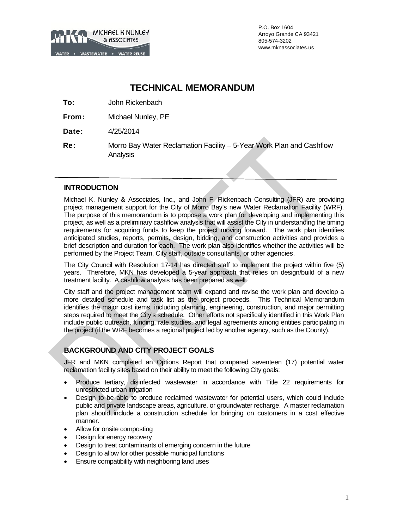

P.O. Box 1604 Arroyo Grande CA 93421 805-574-3202 www.mknassociates.us

# **TECHNICAL MEMORANDUM**

To: John Rickenbach

From: Michael Nunley, PE

Date: 4/25/2014

Re: Morro Bay Water Reclamation Facility – 5-Year Work Plan and Cashflow Analysis

## **INTRODUCTION**

Michael K. Nunley & Associates, Inc., and John F. Rickenbach Consulting (JFR) are providing project management support for the City of Morro Bay's new Water Reclamation Facility (WRF). The purpose of this memorandum is to propose a work plan for developing and implementing this project, as well as a preliminary cashflow analysis that will assist the City in understanding the timing requirements for acquiring funds to keep the project moving forward. The work plan identifies anticipated studies, reports, permits, design, bidding, and construction activities and provides a brief description and duration for each. The work plan also identifies whether the activities will be performed by the Project Team, City staff, outside consultants, or other agencies.

The City Council with Resolution 17-14 has directed staff to implement the project within five (5) years. Therefore, MKN has developed a 5-year approach that relies on design/build of a new treatment facility. A cashflow analysis has been prepared as well.

City staff and the project management team will expand and revise the work plan and develop a more detailed schedule and task list as the project proceeds. This Technical Memorandum identifies the major cost items, including planning, engineering, construction, and major permitting steps required to meet the City's schedule. Other efforts not specifically identified in this Work Plan include public outreach, funding, rate studies, and legal agreements among entities participating in the project (if the WRF becomes a regional project led by another agency, such as the County).

# **BACKGROUND AND CITY PROJECT GOALS**

JFR and MKN completed an Options Report that compared seventeen (17) potential water reclamation facility sites based on their ability to meet the following City goals:

- Produce tertiary, disinfected wastewater in accordance with Title 22 requirements for unrestricted urban irrigation
- Design to be able to produce reclaimed wastewater for potential users, which could include public and private landscape areas, agriculture, or groundwater recharge. A master reclamation plan should include a construction schedule for bringing on customers in a cost effective manner.
- Allow for onsite composting
- Design for energy recovery
- Design to treat contaminants of emerging concern in the future
- Design to allow for other possible municipal functions
- Ensure compatibility with neighboring land uses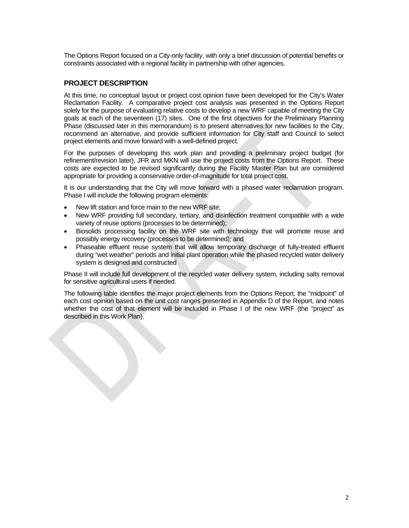The Options Report focused on a City-only facility, with only a brief discussion of potential benefits or constraints associated with a regional facility in partnership with other agencies.

## **PROJECT DESCRIPTION**

At this time, no conceptual layout or project cost opinion have been developed for the City's Water Reclamation Facility. A comparative project cost analysis was presented in the Options Report solely for the purpose of evaluating relative costs to develop a new WRF capable of meeting the City goals at each of the seventeen (17) sites. One of the first objectives for the Preliminary Planning Phase (discussed later in this memorandum) is to present alternatives for new facilities to the City, recommend an alternative, and provide sufficient information for City staff and Council to select project elements and move forward with a well-defined project.

For the purposes of developing this work plan and providing a preliminary project budget (for refinement/revision later), JFR and MKN will use the project costs from the Options Report. These costs are expected to be revised significantly during the Facility Master Plan but are considered appropriate for providing a conservative order-of-magnitude for total project cost.

It is our understanding that the City will move forward with a phased water reclamation program. Phase I will include the following program elements:

- New lift station and force main to the new WRF site;
- New WRF providing full secondary, tertiary, and disinfection treatment compatible with a wide variety of reuse options (processes to be determined);
- Biosolids processing facility on the WRF site with technology that will promote reuse and possibly energy recovery (processes to be determined); and
- Phaseable effluent reuse system that will allow temporary discharge of fully-treated effluent during "wet weather" periods and initial plant operation while the phased recycled water delivery system is designed and constructed

Phase II will include full development of the recycled water delivery system, including salts removal for sensitive agricultural users if needed.

The following table identifies the major project elements from the Options Report, the "midpoint" of each cost opinion based on the unit cost ranges presented in Appendix D of the Report, and notes whether the cost of that element will be included in Phase I of the new WRF (the "project" as described in this Work Plan).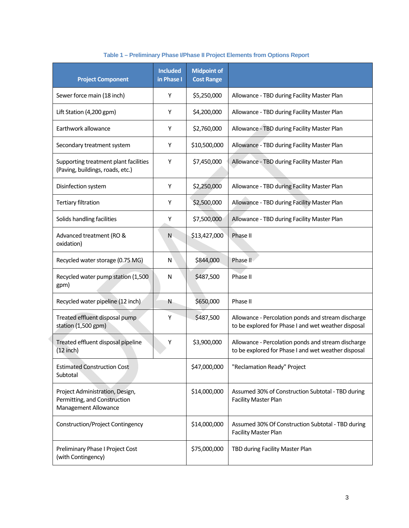|                                                                                                                                                                                      | <b>Included</b><br><b>Project Component</b><br>in Phase I                 |             | <b>Midpoint of</b><br><b>Cost Range</b>     |                                                                                                           |
|--------------------------------------------------------------------------------------------------------------------------------------------------------------------------------------|---------------------------------------------------------------------------|-------------|---------------------------------------------|-----------------------------------------------------------------------------------------------------------|
| Sewer force main (18 inch)                                                                                                                                                           |                                                                           | Y           | \$5,250,000                                 | Allowance - TBD during Facility Master Plan                                                               |
| Lift Station (4,200 gpm)                                                                                                                                                             | Y                                                                         | \$4,200,000 | Allowance - TBD during Facility Master Plan |                                                                                                           |
| Earthwork allowance                                                                                                                                                                  |                                                                           | Y           | \$2,760,000                                 | Allowance - TBD during Facility Master Plan                                                               |
|                                                                                                                                                                                      | Secondary treatment system                                                |             |                                             | Allowance - TBD during Facility Master Plan                                                               |
|                                                                                                                                                                                      | Supporting treatment plant facilities<br>(Paving, buildings, roads, etc.) |             |                                             | Allowance - TBD during Facility Master Plan                                                               |
| Disinfection system                                                                                                                                                                  |                                                                           |             |                                             | Allowance - TBD during Facility Master Plan                                                               |
| <b>Tertiary filtration</b>                                                                                                                                                           |                                                                           | Y           | \$2,500,000                                 | Allowance - TBD during Facility Master Plan                                                               |
|                                                                                                                                                                                      | Solids handling facilities                                                |             |                                             | Allowance - TBD during Facility Master Plan                                                               |
| Advanced treatment (RO &<br>oxidation)                                                                                                                                               |                                                                           | N           | \$13,427,000                                | Phase II                                                                                                  |
|                                                                                                                                                                                      | Recycled water storage (0.75 MG)                                          |             |                                             | Phase II                                                                                                  |
| gpm)                                                                                                                                                                                 | Recycled water pump station (1,500                                        |             |                                             | Phase II                                                                                                  |
|                                                                                                                                                                                      | Recycled water pipeline (12 inch)                                         |             | \$650,000                                   | Phase II                                                                                                  |
| Treated effluent disposal pump<br>station (1,500 gpm)                                                                                                                                |                                                                           | Y           | \$487,500                                   | Allowance - Percolation ponds and stream discharge<br>to be explored for Phase I and wet weather disposal |
| $(12$ inch)                                                                                                                                                                          | Treated effluent disposal pipeline                                        |             | \$3,900,000                                 | Allowance - Percolation ponds and stream discharge<br>to be explored for Phase I and wet weather disposal |
| <b>Estimated Construction Cost</b><br>Subtotal<br>Project Administration, Design,<br>Permitting, and Construction<br>Management Allowance<br><b>Construction/Project Contingency</b> |                                                                           |             | \$47,000,000                                | "Reclamation Ready" Project                                                                               |
|                                                                                                                                                                                      |                                                                           |             | \$14,000,000                                | Assumed 30% of Construction Subtotal - TBD during<br><b>Facility Master Plan</b>                          |
|                                                                                                                                                                                      |                                                                           |             | \$14,000,000                                | Assumed 30% Of Construction Subtotal - TBD during<br><b>Facility Master Plan</b>                          |
| Preliminary Phase I Project Cost<br>(with Contingency)                                                                                                                               |                                                                           |             | \$75,000,000                                | TBD during Facility Master Plan                                                                           |

# **Table 1 – Preliminary Phase I/Phase II Project Elements from Options Report**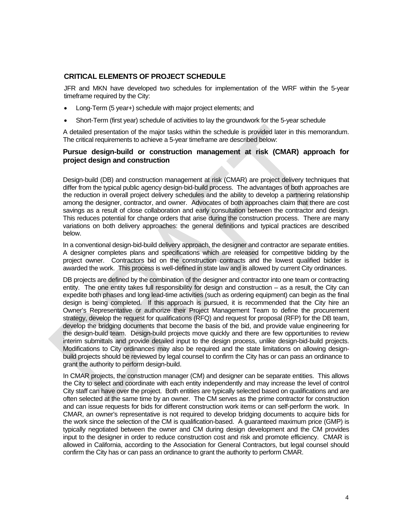## **CRITICAL ELEMENTS OF PROJECT SCHEDULE**

JFR and MKN have developed two schedules for implementation of the WRF within the 5-year timeframe required by the City:

- Long-Term (5 year+) schedule with major project elements; and
- Short-Term (first year) schedule of activities to lay the groundwork for the 5-year schedule

A detailed presentation of the major tasks within the schedule is provided later in this memorandum. The critical requirements to achieve a 5-year timeframe are described below:

#### **Pursue design-build or construction management at risk (CMAR) approach for project design and construction**

Design-build (DB) and construction management at risk (CMAR) are project delivery techniques that differ from the typical public agency design-bid-build process. The advantages of both approaches are the reduction in overall project delivery schedules and the ability to develop a partnering relationship among the designer, contractor, and owner. Advocates of both approaches claim that there are cost savings as a result of close collaboration and early consultation between the contractor and design. This reduces potential for change orders that arise during the construction process. There are many variations on both delivery approaches: the general definitions and typical practices are described below.

In a conventional design-bid-build delivery approach, the designer and contractor are separate entities. A designer completes plans and specifications which are released for competitive bidding by the project owner. Contractors bid on the construction contracts and the lowest qualified bidder is awarded the work. This process is well-defined in state law and is allowed by current City ordinances.

DB projects are defined by the combination of the designer and contractor into one team or contracting entity. The one entity takes full responsibility for design and construction – as a result, the City can expedite both phases and long lead-time activities (such as ordering equipment) can begin as the final design is being completed. If this approach is pursued, it is recommended that the City hire an Owner's Representative or authorize their Project Management Team to define the procurement strategy, develop the request for qualifications (RFQ) and request for proposal (RFP) for the DB team, develop the bridging documents that become the basis of the bid, and provide value engineering for the design-build team. Design-build projects move quickly and there are few opportunities to review interim submittals and provide detailed input to the design process, unlike design-bid-build projects. Modifications to City ordinances may also be required and the state limitations on allowing designbuild projects should be reviewed by legal counsel to confirm the City has or can pass an ordinance to grant the authority to perform design-build.

In CMAR projects, the construction manager (CM) and designer can be separate entities. This allows the City to select and coordinate with each entity independently and may increase the level of control City staff can have over the project. Both entities are typically selected based on qualifications and are often selected at the same time by an owner. The CM serves as the prime contractor for construction and can issue requests for bids for different construction work items or can self-perform the work. In CMAR, an owner's representative is not required to develop bridging documents to acquire bids for the work since the selection of the CM is qualification-based. A guaranteed maximum price (GMP) is typically negotiated between the owner and CM during design development and the CM provides input to the designer in order to reduce construction cost and risk and promote efficiency. CMAR is allowed in California, according to the Association for General Contractors, but legal counsel should confirm the City has or can pass an ordinance to grant the authority to perform CMAR.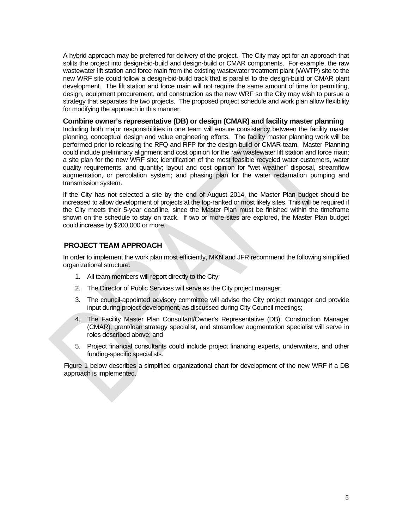A hybrid approach may be preferred for delivery of the project. The City may opt for an approach that splits the project into design-bid-build and design-build or CMAR components. For example, the raw wastewater lift station and force main from the existing wastewater treatment plant (WWTP) site to the new WRF site could follow a design-bid-build track that is parallel to the design-build or CMAR plant development. The lift station and force main will not require the same amount of time for permitting, design, equipment procurement, and construction as the new WRF so the City may wish to pursue a strategy that separates the two projects. The proposed project schedule and work plan allow flexibility for modifying the approach in this manner.

#### **Combine owner's representative (DB) or design (CMAR) and facility master planning**

Including both major responsibilities in one team will ensure consistency between the facility master planning, conceptual design and value engineering efforts. The facility master planning work will be performed prior to releasing the RFQ and RFP for the design-build or CMAR team. Master Planning could include preliminary alignment and cost opinion for the raw wastewater lift station and force main; a site plan for the new WRF site; identification of the most feasible recycled water customers, water quality requirements, and quantity; layout and cost opinion for "wet weather" disposal, streamflow augmentation, or percolation system; and phasing plan for the water reclamation pumping and transmission system.

If the City has not selected a site by the end of August 2014, the Master Plan budget should be increased to allow development of projects at the top-ranked or most likely sites. This will be required if the City meets their 5-year deadline, since the Master Plan must be finished within the timeframe shown on the schedule to stay on track. If two or more sites are explored, the Master Plan budget could increase by \$200,000 or more.

## **PROJECT TEAM APPROACH**

In order to implement the work plan most efficiently, MKN and JFR recommend the following simplified organizational structure:

- 1. All team members will report directly to the City;
- 2. The Director of Public Services will serve as the City project manager;
- 3. The council-appointed advisory committee will advise the City project manager and provide input during project development, as discussed during City Council meetings;
- 4. The Facility Master Plan Consultant/Owner's Representative (DB), Construction Manager (CMAR), grant/loan strategy specialist, and streamflow augmentation specialist will serve in roles described above; and
- 5. Project financial consultants could include project financing experts, underwriters, and other funding-specific specialists.

Figure 1 below describes a simplified organizational chart for development of the new WRF if a DB approach is implemented.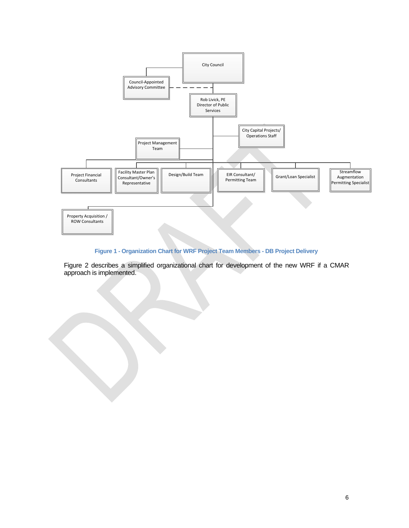

# **Figure 1 - Organization Chart for WRF Project Team Members - DB Project Delivery**

Figure 2 describes a simplified organizational chart for development of the new WRF if a CMAR approach is implemented.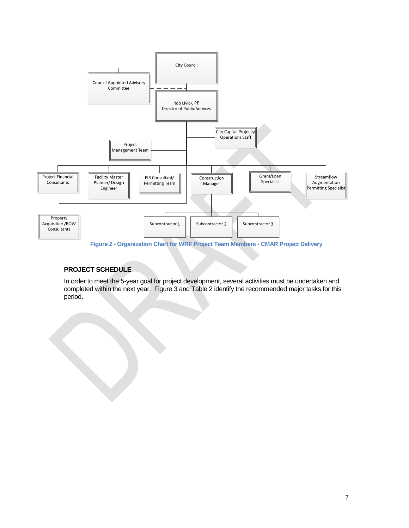

**Figure 2 - Organization Chart for WRF Project Team Members - CMAR Project Delivery** 

## **PROJECT SCHEDULE**

In order to meet the 5-year goal for project development, several activities must be undertaken and completed within the next year. Figure 3 and Table 2 identify the recommended major tasks for this period.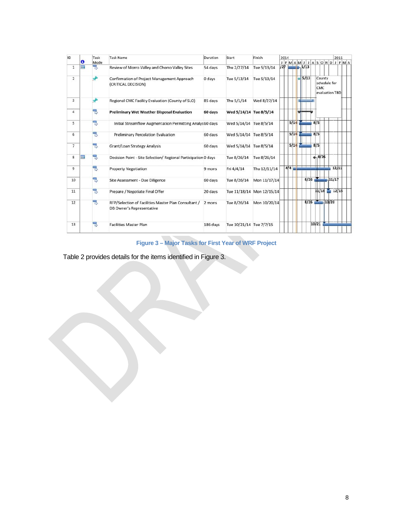| ID             | $\bullet$ | Task<br>Mode | <b>Task Name</b>                                                                         | Duration | Start                   | Finish                    | 2014 | JFMAMJJASONDJFMA      | 2015                           |
|----------------|-----------|--------------|------------------------------------------------------------------------------------------|----------|-------------------------|---------------------------|------|-----------------------|--------------------------------|
| $\mathbf{1}$   | E         | 3            | Review of Morro Valley and Chorro Valley Sites                                           | 54 days  | Thu 2/27/14             | Tue 5/13/14               | 127  | $-5/13$               |                                |
| $\overline{2}$ |           |              | Confirmation of Project Management Approach<br>(CRITICAL DECISION)                       | 0 days   | Tue 5/13/14             | Tue 5/13/14               |      | 5/13<br>County<br>CMC | schedule for<br>evaluation TBD |
| 3              |           |              | Regional CMC Facility Evaluation (County of SLO)                                         | 85 days  | Thu 5/1/14              | Wed 8/27/14               |      |                       |                                |
| 4              |           | 링            | <b>Preliminary Wet Weather Disposal Evaluation</b>                                       | 60 days  | Wed 5/14/14 Tue 8/5/14  |                           |      |                       |                                |
| 5              |           | 3            | Initial Streamflow Augmentation Permitting Analys 60 days                                |          | Wed 5/14/14 Tue 8/5/14  |                           | 5/14 | 8/5                   |                                |
| 6              |           | 링            | <b>Preliminary Percolation Evaluation</b>                                                | 60 days  | Wed 5/14/14 Tue 8/5/14  |                           | 5/14 | 8/5                   |                                |
| $\overline{7}$ |           | ᄝ            | Grant/Loan Strategy Analysis                                                             | 60 days  | Wed 5/14/14 Tue 8/5/14  |                           | 5/14 | 8/5                   |                                |
| 8              | E         | 뮝            | Decision Point - Site Selection/ Regional Participation 0 days                           |          | Tue 8/26/14             | Tue 8/26/14               |      | $-8/26$               |                                |
| 9              |           | 링            | <b>Property Negotiation</b>                                                              | 9 mons   | Fri 4/4/14              | Thu 12/11/14              | 4/4  | ---                   | 12/11                          |
| 10             |           | В            | Site Assessment - Due Diligence                                                          | 60 days  | Tue 8/26/14             | Mon 11/17/14              |      | $8/26$ 11/17          |                                |
| 11             |           | 링            | Prepare / Negotiate Final Offer                                                          | 20 days  |                         | Tue 11/18/14 Mon 12/15/14 |      |                       | $11/18$ 12/15                  |
| 12             |           | 믱            | RFP/Selection of Facilities Master Plan Consultant /<br><b>DB Owner's Representative</b> | 2 mons   | Tue 8/26/14             | Mon 10/20/14              |      | $8/26$ 10/20          |                                |
| 13             |           | 号            | <b>Facilities Master Plan</b>                                                            | 186 days | Tue 10/21/14 Tue 7/7/15 |                           |      | 10/21                 |                                |

**Figure 3 – Major Tasks for First Year of WRF Project** 

Table 2 provides details for the items identified in Figure 3.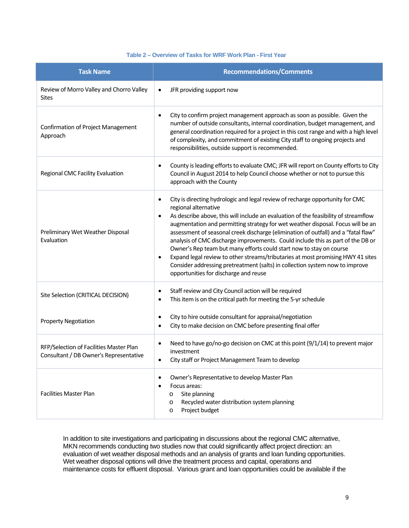#### **Table 2 – Overview of Tasks for WRF Work Plan - First Year**

| <b>Task Name</b>                                                                  | <b>Recommendations/Comments</b>                                                                                                                                                                                                                                                                                                                                                                                                                                                                                                                                                                                                                                                                                                                  |
|-----------------------------------------------------------------------------------|--------------------------------------------------------------------------------------------------------------------------------------------------------------------------------------------------------------------------------------------------------------------------------------------------------------------------------------------------------------------------------------------------------------------------------------------------------------------------------------------------------------------------------------------------------------------------------------------------------------------------------------------------------------------------------------------------------------------------------------------------|
| Review of Morro Valley and Chorro Valley<br><b>Sites</b>                          | JFR providing support now<br>$\bullet$                                                                                                                                                                                                                                                                                                                                                                                                                                                                                                                                                                                                                                                                                                           |
| <b>Confirmation of Project Management</b><br>Approach                             | City to confirm project management approach as soon as possible. Given the<br>$\bullet$<br>number of outside consultants, internal coordination, budget management, and<br>general coordination required for a project in this cost range and with a high level<br>of complexity, and commitment of existing City staff to ongoing projects and<br>responsibilities, outside support is recommended.                                                                                                                                                                                                                                                                                                                                             |
| Regional CMC Facility Evaluation                                                  | County is leading efforts to evaluate CMC; JFR will report on County efforts to City<br>$\bullet$<br>Council in August 2014 to help Council choose whether or not to pursue this<br>approach with the County                                                                                                                                                                                                                                                                                                                                                                                                                                                                                                                                     |
| Preliminary Wet Weather Disposal<br>Evaluation                                    | City is directing hydrologic and legal review of recharge opportunity for CMC<br>regional alternative<br>As describe above, this will include an evaluation of the feasibility of streamflow<br>٠<br>augmentation and permitting strategy for wet weather disposal. Focus will be an<br>assessment of seasonal creek discharge (elimination of outfall) and a "fatal flaw"<br>analysis of CMC discharge improvements. Could include this as part of the DB or<br>Owner's Rep team but many efforts could start now to stay on course<br>Expand legal review to other streams/tributaries at most promising HWY 41 sites<br>Consider addressing pretreatment (salts) in collection system now to improve<br>opportunities for discharge and reuse |
| Site Selection (CRITICAL DECISION)                                                | Staff review and City Council action will be required<br>This item is on the critical path for meeting the 5-yr schedule<br>$\bullet$                                                                                                                                                                                                                                                                                                                                                                                                                                                                                                                                                                                                            |
| <b>Property Negotiation</b>                                                       | City to hire outside consultant for appraisal/negotiation<br>City to make decision on CMC before presenting final offer<br>$\bullet$                                                                                                                                                                                                                                                                                                                                                                                                                                                                                                                                                                                                             |
| RFP/Selection of Facilities Master Plan<br>Consultant / DB Owner's Representative | Need to have go/no-go decision on CMC at this point (9/1/14) to prevent major<br>investment<br>City staff or Project Management Team to develop                                                                                                                                                                                                                                                                                                                                                                                                                                                                                                                                                                                                  |
| <b>Facilities Master Plan</b>                                                     | Owner's Representative to develop Master Plan<br>$\bullet$<br>Focus areas:<br>Site planning<br>$\circ$<br>Recycled water distribution system planning<br>$\circ$<br>Project budget<br>$\circ$                                                                                                                                                                                                                                                                                                                                                                                                                                                                                                                                                    |

In addition to site investigations and participating in discussions about the regional CMC alternative, MKN recommends conducting two studies now that could significantly affect project direction: an evaluation of wet weather disposal methods and an analysis of grants and loan funding opportunities. Wet weather disposal options will drive the treatment process and capital, operations and maintenance costs for effluent disposal. Various grant and loan opportunities could be available if the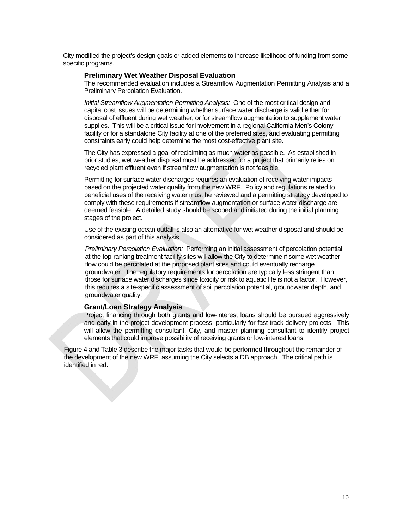City modified the project's design goals or added elements to increase likelihood of funding from some specific programs.

#### **Preliminary Wet Weather Disposal Evaluation**

The recommended evaluation includes a Streamflow Augmentation Permitting Analysis and a Preliminary Percolation Evaluation.

*Initial Streamflow Augmentation Permitting Analysis:* One of the most critical design and capital cost issues will be determining whether surface water discharge is valid either for disposal of effluent during wet weather; or for streamflow augmentation to supplement water supplies. This will be a critical issue for involvement in a regional California Men's Colony facility or for a standalone City facility at one of the preferred sites, and evaluating permitting constraints early could help determine the most cost-effective plant site.

The City has expressed a goal of reclaiming as much water as possible. As established in prior studies, wet weather disposal must be addressed for a project that primarily relies on recycled plant effluent even if streamflow augmentation is not feasible.

Permitting for surface water discharges requires an evaluation of receiving water impacts based on the projected water quality from the new WRF. Policy and regulations related to beneficial uses of the receiving water must be reviewed and a permitting strategy developed to comply with these requirements if streamflow augmentation or surface water discharge are deemed feasible. A detailed study should be scoped and initiated during the initial planning stages of the project.

Use of the existing ocean outfall is also an alternative for wet weather disposal and should be considered as part of this analysis.

*Preliminary Percolation Evaluation:* Performing an initial assessment of percolation potential at the top-ranking treatment facility sites will allow the City to determine if some wet weather flow could be percolated at the proposed plant sites and could eventually recharge groundwater. The regulatory requirements for percolation are typically less stringent than those for surface water discharges since toxicity or risk to aquatic life is not a factor. However, this requires a site-specific assessment of soil percolation potential, groundwater depth, and groundwater quality.

#### **Grant/Loan Strategy Analysis**

Project financing through both grants and low-interest loans should be pursued aggressively and early in the project development process, particularly for fast-track delivery projects. This will allow the permitting consultant, City, and master planning consultant to identify project elements that could improve possibility of receiving grants or low-interest loans.

Figure 4 and Table 3 describe the major tasks that would be performed throughout the remainder of the development of the new WRF, assuming the City selects a DB approach. The critical path is identified in red.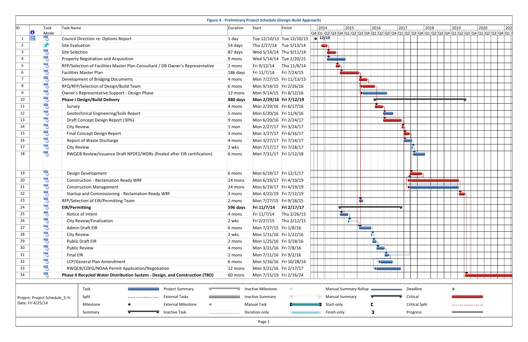| ID                                                                                            |           | Task | Task Name                                                                      | Duration           | Start                    | Finish                    | 2014      |                              |                | 2015 |        | 2016                               |  |
|-----------------------------------------------------------------------------------------------|-----------|------|--------------------------------------------------------------------------------|--------------------|--------------------------|---------------------------|-----------|------------------------------|----------------|------|--------|------------------------------------|--|
|                                                                                               | $\bullet$ | Mode |                                                                                |                    |                          |                           |           |                              |                |      |        | Q4 Q1 Q2 Q3 Q4 Q1 Q2 Q3 Q4 Q1 Q2 Q |  |
| 1                                                                                             | <b>HH</b> | z    | Council Direction re: Options Report                                           | $1$ day            |                          | Tue 12/10/13 Tue 12/10/13 | $ $ 12/10 |                              |                |      |        |                                    |  |
| $\mathbf{2}$                                                                                  |           | X.   | <b>Site Evaluation</b>                                                         | 54 days            | Thu 2/27/14 Tue 5/13/14  |                           | ¢         |                              |                |      |        |                                    |  |
| 3                                                                                             |           | F    | <b>Site Selection</b>                                                          | 87 days            | Wed 5/14/14 Thu 9/11/14  |                           |           |                              |                |      |        |                                    |  |
| 4                                                                                             |           | B    | Property Negotiation and Acquisition                                           | 9 mons             | Wed 5/14/14 Tue 1/20/15  |                           |           |                              |                |      |        |                                    |  |
| 5                                                                                             |           | B    | RFP/Selection of Facilities Master Plan Consultant / DB Owner's Representative | 2 mons             | Fri 9/12/14              | Thu 11/6/14               |           |                              |                |      |        |                                    |  |
| 6                                                                                             |           | B,   | <b>Facilities Master Plan</b>                                                  | 186 days           | Fri 11/7/14              | Fri 7/24/15               |           |                              |                |      |        |                                    |  |
| $7\overline{ }$                                                                               |           | B    | Development of Bridging Documents                                              | 4 mons             | Mon 7/27/15 Fri 11/13/15 |                           |           |                              |                |      |        |                                    |  |
| 8                                                                                             |           | B    | RFQ/RFP/Selection of Design/Build Team                                         | 6 mons             | Mon 9/14/15 Fri 2/26/16  |                           |           |                              |                |      |        |                                    |  |
| 9                                                                                             |           | F    | Owner's Representative Support - Design Phase                                  | 12 mons            | Mon 9/14/15 Fri 8/12/16  |                           |           |                              |                |      |        |                                    |  |
| 10                                                                                            |           | B    | <b>Phase I Design/Build Delivery</b>                                           | 880 days           | Mon 2/29/16 Fri 7/12/19  |                           |           |                              |                |      |        |                                    |  |
| 11                                                                                            |           | F    | Survey                                                                         | 4 mons             | Mon 2/29/16 Fri 6/17/16  |                           |           |                              |                |      |        |                                    |  |
| 12                                                                                            |           | F    | Geotechnical Engineering/Soils Report                                          | 5 mons             | Mon 6/20/16 Fri 11/4/16  |                           |           |                              |                |      |        |                                    |  |
| 13                                                                                            |           | B    | Draft Concept Design Report (30%)                                              | 9 mons             | Mon 6/20/16 Fri 2/24/17  |                           |           |                              |                |      |        |                                    |  |
| 14                                                                                            |           | B    | <b>City Review</b>                                                             | $1$ mon            | Mon 2/27/17 Fri 3/24/17  |                           |           |                              |                |      |        |                                    |  |
| 15                                                                                            |           | B    | Final Concept Design Report                                                    | 3 mons             | Mon 3/27/17 Fri 6/16/17  |                           |           |                              |                |      |        |                                    |  |
| 16                                                                                            |           | F    | Report of Waste Discharge                                                      | 4 mons             | Mon 3/27/17 Fri 7/14/17  |                           |           |                              |                |      |        |                                    |  |
| 17                                                                                            |           | F    | <b>City Review</b>                                                             | 2 wks              | Mon 7/17/17 Fri 7/28/17  |                           |           |                              |                |      |        |                                    |  |
| 18                                                                                            |           | B    | RWQCB Review/Issuance Draft NPDES/WDRs (finaled after EIR certification)       | 6 mons             | Mon 7/31/17 Fri 1/12/18  |                           |           |                              |                |      |        |                                    |  |
|                                                                                               |           |      |                                                                                |                    |                          |                           |           |                              |                |      |        |                                    |  |
| 19                                                                                            |           | z    | Design Development                                                             | 6 mons             | Mon 6/19/17 Fri 12/1/17  |                           |           |                              |                |      |        |                                    |  |
| 20                                                                                            |           | B    | <b>Construction - Reclamation Ready WRF</b>                                    | 24 mons<br>24 mons | Mon 6/19/17 Fri 4/19/19  |                           |           |                              |                |      |        |                                    |  |
| 21                                                                                            |           | B    | <b>Construction Management</b>                                                 |                    | Mon 6/19/17 Fri 4/19/19  |                           |           |                              |                |      |        |                                    |  |
| 22                                                                                            |           | B    | Startup and Commissioning - Reclamation Ready WRF                              | 3 mons             | Mon 4/22/19 Fri 7/12/19  |                           |           |                              |                |      |        |                                    |  |
| 23                                                                                            |           | B    | RFP/Selection of EIR/Permitting Team                                           | 2 mons             | Mon 7/27/15 Fri 9/18/15  |                           |           |                              |                |      | H      |                                    |  |
| 24                                                                                            |           | S    | <b>EIR/Permitting</b>                                                          | 596 days           | Fri 11/7/14 Fri 2/17/17  |                           |           |                              | $\blacksquare$ |      | $\Box$ |                                    |  |
| 25                                                                                            |           | F    | Notice of Intent                                                               | 4 mons             | Fri 11/7/14              | Thu 2/26/15               |           |                              |                |      |        |                                    |  |
| 26                                                                                            |           | B,   | City Review/Finalization                                                       | 2 wks              | Fri 2/27/15              | Thu 3/12/15               |           |                              |                |      |        |                                    |  |
| 27                                                                                            |           | B    | Admin Draft EIR                                                                | 6 mons             | Mon 7/27/15 Fri 1/8/16   |                           |           |                              |                |      |        |                                    |  |
| 28                                                                                            |           | B    | <b>City Review</b>                                                             | 2 wks              | Mon 1/11/16 Fri 1/22/16  |                           |           |                              |                |      |        |                                    |  |
| 29                                                                                            |           | B    | <b>Public Draft EIR</b>                                                        | 2 mons             | Mon 1/25/16 Fri 3/18/16  |                           |           |                              |                |      |        |                                    |  |
| 30                                                                                            |           | B    | <b>Public Review</b>                                                           | 4 mons             | Mon 3/21/16 Fri 7/8/16   |                           |           |                              |                |      |        |                                    |  |
| 31                                                                                            |           | F    | <b>Final EIR</b>                                                               | 2 mons             | Mon 7/11/16 Fri 9/2/16   |                           |           |                              |                |      |        |                                    |  |
| 32                                                                                            |           | z    | LCP/General Plan Amendment                                                     | 6 mons             | Mon 5/16/16 Fri 10/28/16 |                           |           |                              |                |      |        |                                    |  |
| 33                                                                                            |           | B    | RWQCB/CDFG/NOAA Permit Application/Negotiation                                 | 12 mons            | Mon 3/21/16 Fri 2/17/17  |                           |           |                              |                |      |        |                                    |  |
| 34                                                                                            |           | B    | Phase II Recycled Water Distribution System - Design, and Construction (TBD)   | 60 mons            | Mon 7/15/19 Fri 2/16/24  |                           |           |                              |                |      |        |                                    |  |
|                                                                                               |           |      | Task<br><b>Project Summary</b>                                                 |                    | Inactive Milestone       | ♦                         |           | <b>Manual Summary Rollup</b> |                |      |        |                                    |  |
|                                                                                               |           |      | <b>External Tasks</b><br>Split                                                 |                    | <b>Inactive Summary</b>  |                           |           | <b>Manual Summary</b>        |                |      |        |                                    |  |
| Project: Project Schedule_5-Yr<br>Date: Fri 4/25/14<br><b>External Milestone</b><br>Milestone |           |      | <b>Manual Task</b>                                                             |                    |                          | Start-only                |           |                              |                |      |        |                                    |  |
|                                                                                               |           |      | <b>Inactive Task</b><br>Summary                                                |                    | Duration-only            |                           |           | Finish-only                  |                |      |        |                                    |  |
|                                                                                               |           |      |                                                                                |                    | Page 1                   |                           |           |                              |                |      |        |                                    |  |

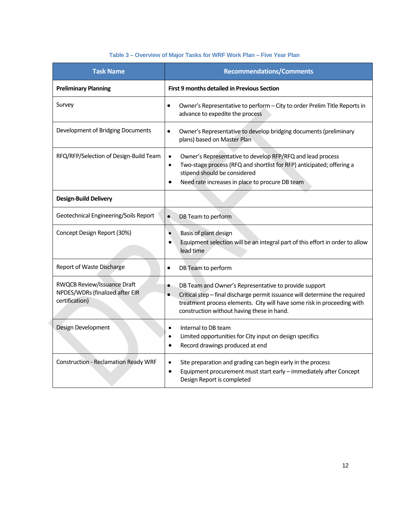## **Table 3 – Overview of Major Tasks for WRF Work Plan – Five Year Plan**

| <b>Task Name</b>                                                                 | <b>Recommendations/Comments</b>                                                                                                                                                                                                                                                         |  |  |  |  |
|----------------------------------------------------------------------------------|-----------------------------------------------------------------------------------------------------------------------------------------------------------------------------------------------------------------------------------------------------------------------------------------|--|--|--|--|
| <b>Preliminary Planning</b>                                                      | <b>First 9 months detailed in Previous Section</b>                                                                                                                                                                                                                                      |  |  |  |  |
| Survey                                                                           | Owner's Representative to perform - City to order Prelim Title Reports in<br>$\bullet$<br>advance to expedite the process                                                                                                                                                               |  |  |  |  |
| Development of Bridging Documents                                                | Owner's Representative to develop bridging documents (preliminary<br>$\bullet$<br>plans) based on Master Plan                                                                                                                                                                           |  |  |  |  |
| RFQ/RFP/Selection of Design-Build Team                                           | Owner's Representative to develop RFP/RFQ and lead process<br>$\bullet$<br>Two-stage process (RFQ and shortlist for RFP) anticipated; offering a<br>$\bullet$<br>stipend should be considered<br>Need rate increases in place to procure DB team                                        |  |  |  |  |
| <b>Design-Build Delivery</b>                                                     |                                                                                                                                                                                                                                                                                         |  |  |  |  |
| Geotechnical Engineering/Soils Report                                            | $\bullet$<br>DB Team to perform                                                                                                                                                                                                                                                         |  |  |  |  |
| Concept Design Report (30%)                                                      | Basis of plant design<br>$\bullet$<br>Equipment selection will be an integral part of this effort in order to allow<br>lead time                                                                                                                                                        |  |  |  |  |
| Report of Waste Discharge                                                        | DB Team to perform<br>$\bullet$                                                                                                                                                                                                                                                         |  |  |  |  |
| RWQCB Review/Issuance Draft<br>NPDES/WDRs (finalized after EIR<br>certification) | DB Team and Owner's Representative to provide support<br>$\bullet$<br>Critical step - final discharge permit issuance will determine the required<br>$\bullet$<br>treatment process elements. City will have some risk in proceeding with<br>construction without having these in hand. |  |  |  |  |
| Design Development                                                               | Internal to DB team<br>$\bullet$<br>Limited opportunities for City input on design specifics<br>$\bullet$<br>Record drawings produced at end<br>٠                                                                                                                                       |  |  |  |  |
| <b>Construction - Reclamation Ready WRF</b>                                      | Site preparation and grading can begin early in the process<br>$\bullet$<br>Equipment procurement must start early - immediately after Concept<br>٠<br>Design Report is completed                                                                                                       |  |  |  |  |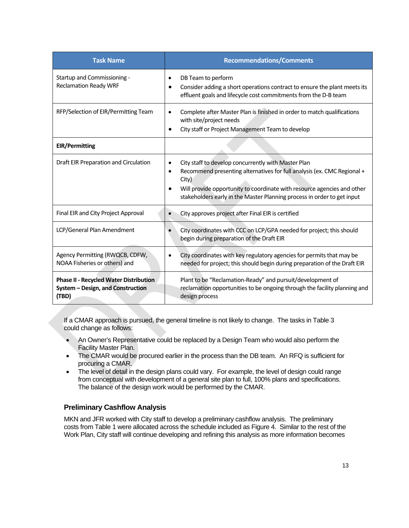| <b>Task Name</b>                                                                            | <b>Recommendations/Comments</b>                                                                                                                                                                                                                                                                                                      |
|---------------------------------------------------------------------------------------------|--------------------------------------------------------------------------------------------------------------------------------------------------------------------------------------------------------------------------------------------------------------------------------------------------------------------------------------|
| Startup and Commissioning -<br><b>Reclamation Ready WRF</b>                                 | DB Team to perform<br>Consider adding a short operations contract to ensure the plant meets its<br>$\bullet$<br>effluent goals and lifecycle cost commitments from the D-B team                                                                                                                                                      |
| RFP/Selection of EIR/Permitting Team                                                        | Complete after Master Plan is finished in order to match qualifications<br>٠<br>with site/project needs<br>City staff or Project Management Team to develop                                                                                                                                                                          |
| <b>EIR/Permitting</b>                                                                       |                                                                                                                                                                                                                                                                                                                                      |
| Draft EIR Preparation and Circulation                                                       | City staff to develop concurrently with Master Plan<br>$\bullet$<br>Recommend presenting alternatives for full analysis (ex. CMC Regional +<br>$\bullet$<br>City)<br>Will provide opportunity to coordinate with resource agencies and other<br>$\bullet$<br>stakeholders early in the Master Planning process in order to get input |
| Final EIR and City Project Approval                                                         | City approves project after Final EIR is certified                                                                                                                                                                                                                                                                                   |
| LCP/General Plan Amendment                                                                  | City coordinates with CCC on LCP/GPA needed for project; this should<br>begin during preparation of the Draft EIR                                                                                                                                                                                                                    |
| Agency Permitting (RWQCB, CDFW,<br>NOAA Fisheries or others) and                            | City coordinates with key regulatory agencies for permits that may be<br>٠<br>needed for project; this should begin during preparation of the Draft EIR                                                                                                                                                                              |
| <b>Phase II - Recycled Water Distribution</b><br>System - Design, and Construction<br>(TBD) | Plant to be "Reclamation-Ready" and pursuit/development of<br>reclamation opportunities to be ongoing through the facility planning and<br>design process                                                                                                                                                                            |

If a CMAR approach is pursued, the general timeline is not likely to change. The tasks in Table 3 could change as follows:

- An Owner's Representative could be replaced by a Design Team who would also perform the Facility Master Plan.
- The CMAR would be procured earlier in the process than the DB team. An RFQ is sufficient for procuring a CMAR.
- The level of detail in the design plans could vary. For example, the level of design could range from conceptual with development of a general site plan to full, 100% plans and specifications. The balance of the design work would be performed by the CMAR.

## **Preliminary Cashflow Analysis**

MKN and JFR worked with City staff to develop a preliminary cashflow analysis. The preliminary costs from Table 1 were allocated across the schedule included as Figure 4. Similar to the rest of the Work Plan, City staff will continue developing and refining this analysis as more information becomes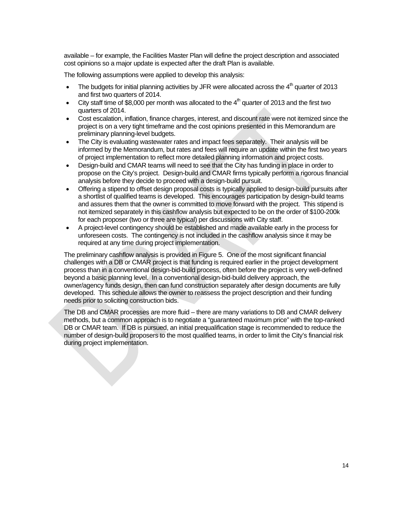available – for example, the Facilities Master Plan will define the project description and associated cost opinions so a major update is expected after the draft Plan is available.

The following assumptions were applied to develop this analysis:

- The budgets for initial planning activities by JFR were allocated across the  $4<sup>th</sup>$  quarter of 2013 and first two quarters of 2014.
- City staff time of \$8,000 per month was allocated to the  $4<sup>th</sup>$  quarter of 2013 and the first two quarters of 2014.
- Cost escalation, inflation, finance charges, interest, and discount rate were not itemized since the project is on a very tight timeframe and the cost opinions presented in this Memorandum are preliminary planning-level budgets.
- The City is evaluating wastewater rates and impact fees separately. Their analysis will be informed by the Memorandum, but rates and fees will require an update within the first two years of project implementation to reflect more detailed planning information and project costs.
- Design-build and CMAR teams will need to see that the City has funding in place in order to propose on the City's project. Design-build and CMAR firms typically perform a rigorous financial analysis before they decide to proceed with a design-build pursuit.
- Offering a stipend to offset design proposal costs is typically applied to design-build pursuits after a shortlist of qualified teams is developed. This encourages participation by design-build teams and assures them that the owner is committed to move forward with the project. This stipend is not itemized separately in this cashflow analysis but expected to be on the order of \$100-200k for each proposer (two or three are typical) per discussions with City staff.
- A project-level contingency should be established and made available early in the process for unforeseen costs. The contingency is not included in the cashflow analysis since it may be required at any time during project implementation.

The preliminary cashflow analysis is provided in Figure 5. One of the most significant financial challenges with a DB or CMAR project is that funding is required earlier in the project development process than in a conventional design-bid-build process, often before the project is very well-defined beyond a basic planning level. In a conventional design-bid-build delivery approach, the owner/agency funds design, then can fund construction separately after design documents are fully developed. This schedule allows the owner to reassess the project description and their funding needs prior to soliciting construction bids.

The DB and CMAR processes are more fluid – there are many variations to DB and CMAR delivery methods, but a common approach is to negotiate a "guaranteed maximum price" with the top-ranked DB or CMAR team. If DB is pursued, an initial prequalification stage is recommended to reduce the number of design-build proposers to the most qualified teams, in order to limit the City's financial risk during project implementation.